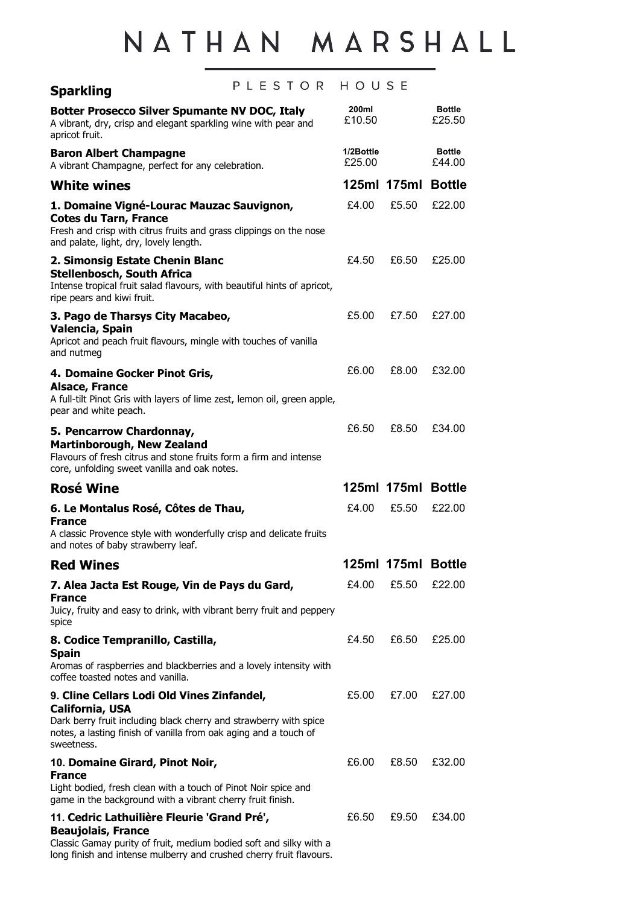## NATHAN MARSHALL

| PLESTOR<br><b>Sparkling</b>                                                                                                                                                                                                 | HOUSE               |                    |                         |
|-----------------------------------------------------------------------------------------------------------------------------------------------------------------------------------------------------------------------------|---------------------|--------------------|-------------------------|
| <b>Botter Prosecco Silver Spumante NV DOC, Italy</b><br>A vibrant, dry, crisp and elegant sparkling wine with pear and<br>apricot fruit.                                                                                    | 200ml<br>£10.50     |                    | <b>Bottle</b><br>£25.50 |
| <b>Baron Albert Champagne</b><br>A vibrant Champagne, perfect for any celebration.                                                                                                                                          | 1/2Bottle<br>£25.00 |                    | <b>Bottle</b><br>£44.00 |
| <b>White wines</b>                                                                                                                                                                                                          |                     | 125ml 175ml Bottle |                         |
| 1. Domaine Vigné-Lourac Mauzac Sauvignon,<br><b>Cotes du Tarn, France</b><br>Fresh and crisp with citrus fruits and grass clippings on the nose<br>and palate, light, dry, lovely length.                                   | £4.00               | £5.50              | £22.00                  |
| 2. Simonsig Estate Chenin Blanc<br><b>Stellenbosch, South Africa</b><br>Intense tropical fruit salad flavours, with beautiful hints of apricot,<br>ripe pears and kiwi fruit.                                               | £4.50               | £6.50              | £25.00                  |
| 3. Pago de Tharsys City Macabeo,<br>Valencia, Spain<br>Apricot and peach fruit flavours, mingle with touches of vanilla<br>and nutmeg                                                                                       | £5.00               | £7.50              | £27.00                  |
| 4. Domaine Gocker Pinot Gris,<br><b>Alsace, France</b><br>A full-tilt Pinot Gris with layers of lime zest, lemon oil, green apple,<br>pear and white peach.                                                                 | £6.00               | £8.00              | £32.00                  |
| 5. Pencarrow Chardonnay,<br><b>Martinborough, New Zealand</b><br>Flavours of fresh citrus and stone fruits form a firm and intense<br>core, unfolding sweet vanilla and oak notes.                                          | £6.50               | £8.50              | £34.00                  |
| <b>Rosé Wine</b>                                                                                                                                                                                                            |                     | 125ml 175ml Bottle |                         |
| 6. Le Montalus Rosé, Côtes de Thau,<br><b>France</b><br>A classic Provence style with wonderfully crisp and delicate fruits<br>and notes of baby strawberry leaf.                                                           | £4.00               | £5.50              | £22.00                  |
| <b>Red Wines</b>                                                                                                                                                                                                            |                     | 125ml 175ml Bottle |                         |
| 7. Alea Jacta Est Rouge, Vin de Pays du Gard,<br><b>France</b><br>Juicy, fruity and easy to drink, with vibrant berry fruit and peppery<br>spice                                                                            | £4.00               | £5.50              | £22.00                  |
| 8. Codice Tempranillo, Castilla,<br><b>Spain</b><br>Aromas of raspberries and blackberries and a lovely intensity with<br>coffee toasted notes and vanilla.                                                                 | £4.50               | £6.50              | £25.00                  |
| 9. Cline Cellars Lodi Old Vines Zinfandel,<br><b>California, USA</b><br>Dark berry fruit including black cherry and strawberry with spice<br>notes, a lasting finish of vanilla from oak aging and a touch of<br>sweetness. | £5.00               | £7.00              | £27.00                  |
| 10. Domaine Girard, Pinot Noir,<br><b>France</b><br>Light bodied, fresh clean with a touch of Pinot Noir spice and<br>game in the background with a vibrant cherry fruit finish.                                            | £6.00               | £8.50              | £32.00                  |
| 11. Cedric Lathuilière Fleurie 'Grand Pré',<br><b>Beaujolais, France</b><br>Classic Gamay purity of fruit, medium bodied soft and silky with a                                                                              | £6.50               | £9.50              | £34.00                  |

long finish and intense mulberry and crushed cherry fruit flavours.